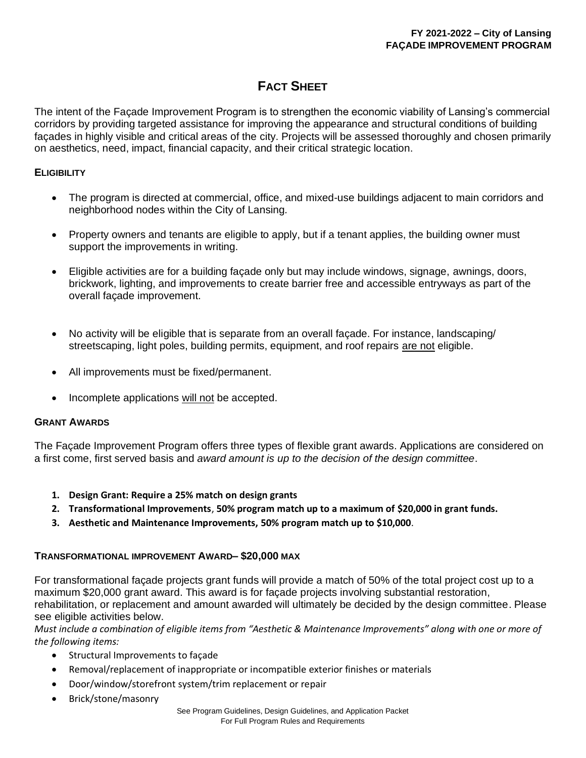# **FACT SHEET**

The intent of the Façade Improvement Program is to strengthen the economic viability of Lansing's commercial corridors by providing targeted assistance for improving the appearance and structural conditions of building façades in highly visible and critical areas of the city. Projects will be assessed thoroughly and chosen primarily on aesthetics, need, impact, financial capacity, and their critical strategic location.

# **ELIGIBILITY**

- The program is directed at commercial, office, and mixed-use buildings adjacent to main corridors and neighborhood nodes within the City of Lansing*.*
- Property owners and tenants are eligible to apply, but if a tenant applies, the building owner must support the improvements in writing.
- Eligible activities are for a building façade only but may include windows, signage, awnings, doors, brickwork, lighting, and improvements to create barrier free and accessible entryways as part of the overall façade improvement.
- No activity will be eligible that is separate from an overall facade. For instance, landscaping/ streetscaping, light poles, building permits, equipment, and roof repairs are not eligible.
- All improvements must be fixed/permanent.
- Incomplete applications will not be accepted.

# **GRANT AWARDS**

The Façade Improvement Program offers three types of flexible grant awards. Applications are considered on a first come, first served basis and *award amount is up to the decision of the design committee*.

- **1. Design Grant: Require a 25% match on design grants**
- **2. Transformational Improvements**, **50% program match up to a maximum of \$20,000 in grant funds.**
- **3. Aesthetic and Maintenance Improvements, 50% program match up to \$10,000**.

# **TRANSFORMATIONAL IMPROVEMENT AWARD– \$20,000 MAX**

For transformational façade projects grant funds will provide a match of 50% of the total project cost up to a maximum \$20,000 grant award. This award is for façade projects involving substantial restoration, rehabilitation, or replacement and amount awarded will ultimately be decided by the design committee. Please see eligible activities below.

*Must include a combination of eligible items from "Aesthetic & Maintenance Improvements" along with one or more of the following items:*

- Structural Improvements to façade
- Removal/replacement of inappropriate or incompatible exterior finishes or materials
- Door/window/storefront system/trim replacement or repair
- Brick/stone/masonry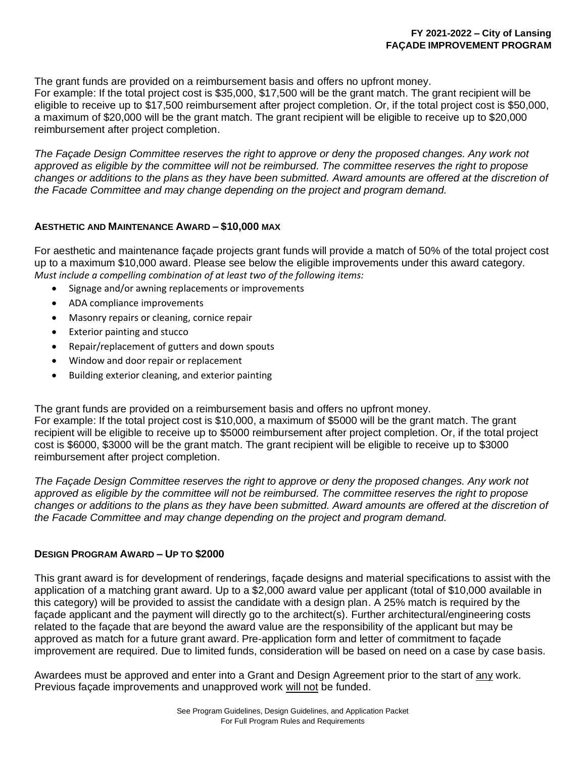The grant funds are provided on a reimbursement basis and offers no upfront money.

For example: If the total project cost is \$35,000, \$17,500 will be the grant match. The grant recipient will be eligible to receive up to \$17,500 reimbursement after project completion. Or, if the total project cost is \$50,000, a maximum of \$20,000 will be the grant match. The grant recipient will be eligible to receive up to \$20,000 reimbursement after project completion.

*The Façade Design Committee reserves the right to approve or deny the proposed changes. Any work not approved as eligible by the committee will not be reimbursed. The committee reserves the right to propose*  changes or additions to the plans as they have been submitted. Award amounts are offered at the discretion of *the Facade Committee and may change depending on the project and program demand.*

## **AESTHETIC AND MAINTENANCE AWARD – \$10,000 MAX**

For aesthetic and maintenance façade projects grant funds will provide a match of 50% of the total project cost up to a maximum \$10,000 award. Please see below the eligible improvements under this award category. *Must include a compelling combination of at least two of the following items:*

- Signage and/or awning replacements or improvements
- ADA compliance improvements
- Masonry repairs or cleaning, cornice repair
- Exterior painting and stucco
- Repair/replacement of gutters and down spouts
- Window and door repair or replacement
- Building exterior cleaning, and exterior painting

The grant funds are provided on a reimbursement basis and offers no upfront money.

For example: If the total project cost is \$10,000, a maximum of \$5000 will be the grant match. The grant recipient will be eligible to receive up to \$5000 reimbursement after project completion. Or, if the total project cost is \$6000, \$3000 will be the grant match. The grant recipient will be eligible to receive up to \$3000 reimbursement after project completion.

The Façade Design Committee reserves the right to approve or deny the proposed changes. Any work not *approved as eligible by the committee will not be reimbursed. The committee reserves the right to propose*  changes or additions to the plans as they have been submitted. Award amounts are offered at the discretion of *the Facade Committee and may change depending on the project and program demand.*

#### **DESIGN PROGRAM AWARD – UP TO \$2000**

This grant award is for development of renderings, façade designs and material specifications to assist with the application of a matching grant award. Up to a \$2,000 award value per applicant (total of \$10,000 available in this category) will be provided to assist the candidate with a design plan. A 25% match is required by the façade applicant and the payment will directly go to the architect(s). Further architectural/engineering costs related to the façade that are beyond the award value are the responsibility of the applicant but may be approved as match for a future grant award. Pre-application form and letter of commitment to façade improvement are required. Due to limited funds, consideration will be based on need on a case by case basis.

Awardees must be approved and enter into a Grant and Design Agreement prior to the start of any work. Previous façade improvements and unapproved work will not be funded.